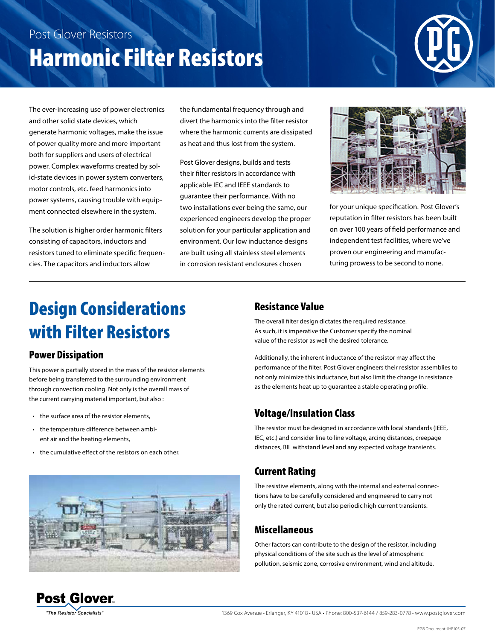# Post Glover Resistors Harmonic Filter Resistors



The ever-increasing use of power electronics and other solid state devices, which generate harmonic voltages, make the issue of power quality more and more important both for suppliers and users of electrical power. Complex waveforms created by solid-state devices in power system converters, motor controls, etc. feed harmonics into power systems, causing trouble with equipment connected elsewhere in the system.

The solution is higher order harmonic filters consisting of capacitors, inductors and resistors tuned to eliminate specific frequencies. The capacitors and inductors allow

the fundamental frequency through and divert the harmonics into the filter resistor where the harmonic currents are dissipated as heat and thus lost from the system.

Post Glover designs, builds and tests their filter resistors in accordance with applicable IEC and IEEE standards to guarantee their performance. With no two installations ever being the same, our experienced engineers develop the proper solution for your particular application and environment. Our low inductance designs are built using all stainless steel elements in corrosion resistant enclosures chosen



for your unique specification. Post Glover's reputation in filter resistors has been built on over 100 years of field performance and independent test facilities, where we've proven our engineering and manufacturing prowess to be second to none.

## Design Considerations with Filter Resistors

#### Power Dissipation

This power is partially stored in the mass of the resistor elements before being transferred to the surrounding environment through convection cooling. Not only is the overall mass of the current carrying material important, but also :

- the surface area of the resistor elements,
- the temperature difference between ambient air and the heating elements,
- the cumulative effect of the resistors on each other.

#### Resistance Value

The overall filter design dictates the required resistance. As such, it is imperative the Customer specify the nominal value of the resistor as well the desired tolerance.

Additionally, the inherent inductance of the resistor may affect the performance of the filter. Post Glover engineers their resistor assemblies to not only minimize this inductance, but also limit the change in resistance as the elements heat up to guarantee a stable operating profile.

### Voltage/Insulation Class

The resistor must be designed in accordance with local standards (IEEE, IEC, etc.) and consider line to line voltage, arcing distances, creepage distances, BIL withstand level and any expected voltage transients.

#### Current Rating

The resistive elements, along with the internal and external connections have to be carefully considered and engineered to carry not only the rated current, but also periodic high current transients.

### Miscellaneous

Other factors can contribute to the design of the resistor, including physical conditions of the site such as the level of atmospheric pollution, seismic zone, corrosive environment, wind and altitude.



**The Resistor Specialists**